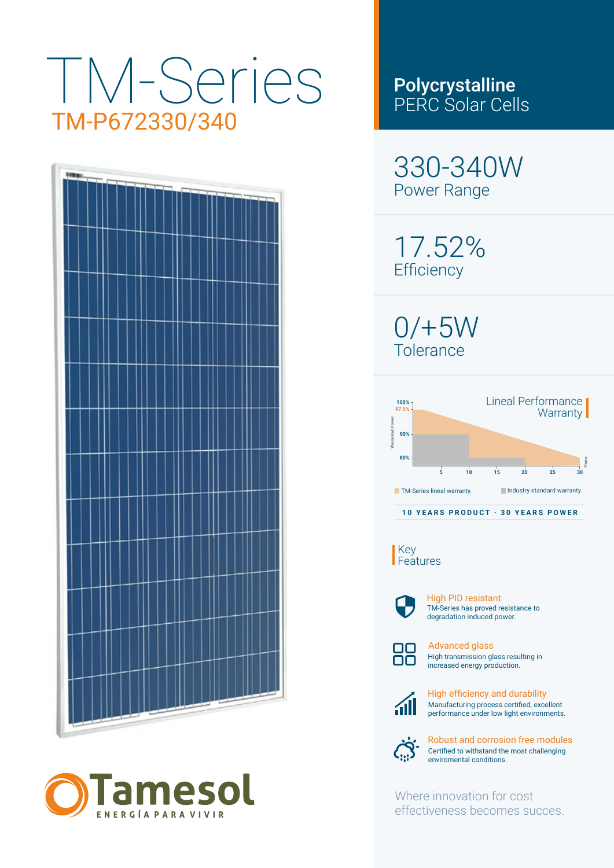## TM-Series TM-P672330/340





### Polycrystalline PERC Solar Cells

330-340W Power Range

17.52% **Efficiency** 

0/+5W Tolerance



Key Features



TM-Series has proved resistance to degradation induced power. High PID resistant



High transmission glass resulting in increased energy production. Advanced glass



Manufacturing process certified, excellent performance under low light environments. High efficiency and durability



Certified to withstand the most challenging enviromental conditions. Robust and corrosion free modules

Where innovation for cost effectiveness becomes succes.